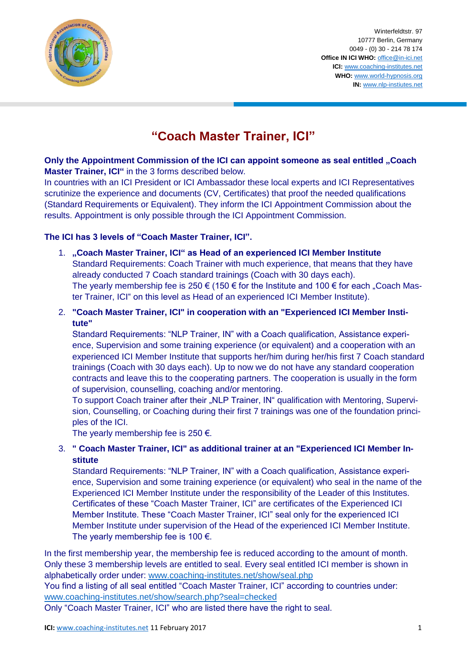

Winterfeldtstr. 97 10777 Berlin, Germany 0049 - (0) 30 - 214 78 174 **Office IN ICI WHO:** [office@in-ici.net](mailto:office@in-ici.net) **ICI:** [www.coaching-institutes.net](http://www.coaching-institutes.net/) **WHO:** [www.world-hypnosis.org](http://www.world-hypnosis.org/) **IN:** [www.nlp-instiutes.net](http://www.nlp-instiutes.net/)

## **"Coach Master Trainer, ICI"**

**Only the Appointment Commission of the ICI can appoint someone as seal entitled "Coach Master Trainer, ICI"** in the 3 forms described below.

In countries with an ICI President or ICI Ambassador these local experts and ICI Representatives scrutinize the experience and documents (CV, Certificates) that proof the needed qualifications (Standard Requirements or Equivalent). They inform the ICI Appointment Commission about the results. Appointment is only possible through the ICI Appointment Commission.

## **The ICI has 3 levels of "Coach Master Trainer, ICI".**

- 1. **"Coach Master Trainer, ICI" as Head of an experienced ICI Member Institute** Standard Requirements: Coach Trainer with much experience, that means that they have already conducted 7 Coach standard trainings (Coach with 30 days each). The yearly membership fee is 250  $\epsilon$  (150  $\epsilon$  for the Institute and 100  $\epsilon$  for each "Coach Master Trainer, ICI" on this level as Head of an experienced ICI Member Institute).
- 2. **"Coach Master Trainer, ICI" in cooperation with an "Experienced ICI Member Institute"**

Standard Requirements: "NLP Trainer, IN" with a Coach qualification, Assistance experience, Supervision and some training experience (or equivalent) and a cooperation with an experienced ICI Member Institute that supports her/him during her/his first 7 Coach standard trainings (Coach with 30 days each). Up to now we do not have any standard cooperation contracts and leave this to the cooperating partners. The cooperation is usually in the form of supervision, counselling, coaching and/or mentoring.

To support Coach trainer after their "NLP Trainer, IN" qualification with Mentoring, Supervision, Counselling, or Coaching during their first 7 trainings was one of the foundation principles of the ICI.

The vearly membership fee is 250  $\epsilon$ .

## 3. **" Coach Master Trainer, ICI" as additional trainer at an "Experienced ICI Member Institute**

Standard Requirements: "NLP Trainer, IN" with a Coach qualification, Assistance experience, Supervision and some training experience (or equivalent) who seal in the name of the Experienced ICI Member Institute under the responsibility of the Leader of this Institutes. Certificates of these "Coach Master Trainer, ICI" are certificates of the Experienced ICI Member Institute. These "Coach Master Trainer, ICI" seal only for the experienced ICI Member Institute under supervision of the Head of the experienced ICI Member Institute. The yearly membership fee is 100  $\epsilon$ .

In the first membership year, the membership fee is reduced according to the amount of month. Only these 3 membership levels are entitled to seal. Every seal entitled ICI member is shown in alphabetically order under: [www.coaching-institutes.net/show/seal.php](http://www.coaching-institutes.net/show/seal.php)

You find a listing of all seal entitled "Coach Master Trainer, ICI" according to countries under: [www.coaching-institutes.net/show/search.php?seal=checked](http://www.coaching-institutes.net/show/search.php?seal=checked)

Only "Coach Master Trainer, ICI" who are listed there have the right to seal.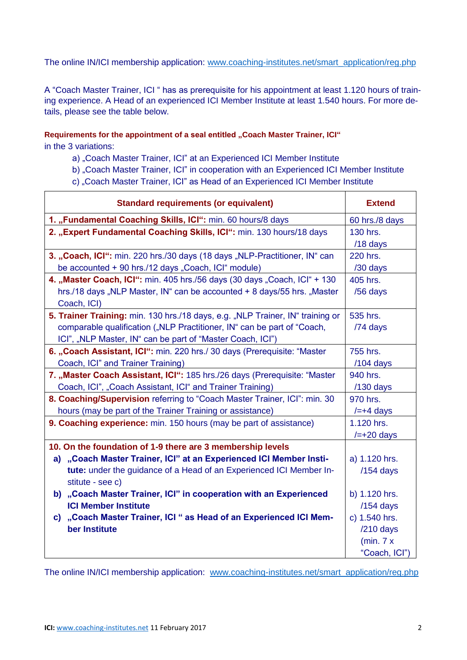The online IN/ICI membership application: [www.coaching-institutes.net/smart\\_application/reg.php](http://www.coaching-institutes.net/smart_application/reg.php)

A "Coach Master Trainer, ICI " has as prerequisite for his appointment at least 1.120 hours of training experience. A Head of an experienced ICI Member Institute at least 1.540 hours. For more details, please see the table below.

**Requirements for the appointment of a seal entitled "Coach Master Trainer, ICI"** 

in the 3 variations:

- a) "Coach Master Trainer, ICI" at an Experienced ICI Member Institute
- b) "Coach Master Trainer, ICI" in cooperation with an Experienced ICI Member Institute
- c) "Coach Master Trainer, ICI" as Head of an Experienced ICI Member Institute

| <b>Standard requirements (or equivalent)</b>                                   | <b>Extend</b>   |
|--------------------------------------------------------------------------------|-----------------|
| 1. "Fundamental Coaching Skills, ICI": min. 60 hours/8 days                    | 60 hrs./8 days  |
| 2. "Expert Fundamental Coaching Skills, ICI": min. 130 hours/18 days           | 130 hrs.        |
|                                                                                | /18 days        |
| 3. "Coach, ICI": min. 220 hrs./30 days (18 days "NLP-Practitioner, IN" can     | 220 hrs.        |
| be accounted + 90 hrs./12 days "Coach, ICI" module)                            | /30 days        |
| 4. "Master Coach, ICI": min. 405 hrs./56 days (30 days "Coach, ICI" + 130      | 405 hrs.        |
| hrs./18 days "NLP Master, IN" can be accounted + 8 days/55 hrs. "Master        | /56 days        |
| Coach, ICI)                                                                    |                 |
| 5. Trainer Training: min. 130 hrs./18 days, e.g. "NLP Trainer, IN" training or | 535 hrs.        |
| comparable qualification ("NLP Practitioner, IN" can be part of "Coach,        | /74 days        |
| ICI", "NLP Master, IN" can be part of "Master Coach, ICI")                     |                 |
| 6. "Coach Assistant, ICI": min. 220 hrs./ 30 days (Prerequisite: "Master       | 755 hrs.        |
| Coach, ICI" and Trainer Training)                                              | /104 days       |
| 7. "Master Coach Assistant, ICI": 185 hrs./26 days (Prerequisite: "Master      | 940 hrs.        |
| Coach, ICI", "Coach Assistant, ICI" and Trainer Training)                      | $/130$ days     |
| 8. Coaching/Supervision referring to "Coach Master Trainer, ICI": min. 30      | 970 hrs.        |
| hours (may be part of the Trainer Training or assistance)                      | $/=+4$ days     |
| 9. Coaching experience: min. 150 hours (may be part of assistance)             | 1.120 hrs.      |
|                                                                                | $/=\pm 20$ days |
| 10. On the foundation of 1-9 there are 3 membership levels                     |                 |
| a) "Coach Master Trainer, ICI" at an Experienced ICI Member Insti-             | a) 1.120 hrs.   |
| tute: under the guidance of a Head of an Experienced ICI Member In-            | $/154$ days     |
| stitute - see c)                                                               |                 |
| b) "Coach Master Trainer, ICI" in cooperation with an Experienced              | b) 1.120 hrs.   |
| <b>ICI Member Institute</b>                                                    | $/154$ days     |
| c) "Coach Master Trainer, ICI" as Head of an Experienced ICI Mem-              | c) 1.540 hrs.   |
| ber Institute                                                                  | $/210$ days     |
|                                                                                | (min. $7x$      |
|                                                                                | "Coach, ICI")   |

The online IN/ICI membership application: [www.coaching-institutes.net/smart\\_application/reg.php](http://www.coaching-institutes.net/smart_application/reg.php)